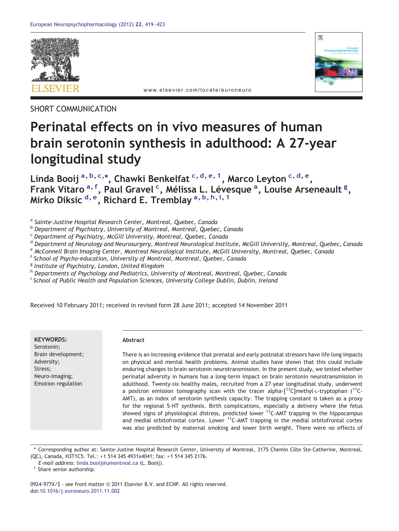

www.elsevier.com/locate/euroneuro

SHORT COMMUNICATION

# Perinatal effects on in vivo measures of human brain serotonin synthesis in adulthood: A 27-year longitudinal study

Linda Booij <sup>a, b, c,</sup>\*, Chawki Benkelfat <sup>c, d, e, 1</sup>, Marco Leyton <sup>c, d, e</sup>, Frank Vitaro<sup>a, f</sup>, Paul Gravel<sup>c</sup>, Mélissa L. Lévesque<sup>a</sup>, Louise Arseneault<sup>g</sup>, Mirko Diksic <sup>d, e</sup>, Richard E. Tremblay <sup>a, b, h, i, 1</sup>

a Sainte-Justine Hospital Research Center, Montreal, Quebec, Canada

b Department of Psychiatry, University of Montreal, Montreal, Quebec, Canada

<sup>c</sup> Department of Psychiatry, McGill University, Montreal, Quebec, Canada

<sup>d</sup> Department of Neurology and Neurosurgery, Montreal Neurological Institute, McGill University, Montreal, Quebec, Canada

<sup>e</sup> McConnell Brain Imaging Center, Montreal Neurological Institute, McGill University, Montreal, Quebec, Canada

<sup>f</sup> School of Psycho-education, University of Montreal, Montreal, Quebec, Canada

<sup>g</sup> Institute of Psychiatry, London, United Kingdom

h Departments of Psychology and Pediatrics, University of Montreal, Montreal, Quebec, Canada

<sup>i</sup> School of Public Health and Population Sciences, University College Dublin, Dublin, Ireland

Received 10 February 2011; received in revised form 28 June 2011; accepted 14 November 2011

KEYWORDS: Serotonin; Brain development; Adversity; Stress; Neuro-imaging; Emotion regulation

## Abstract

There is an increasing evidence that prenatal and early postnatal stressors have life long impacts on physical and mental health problems. Animal studies have shown that this could include enduring changes to brain serotonin neurotransmission. In the present study, we tested whether perinatal adversity in humans has a long-term impact on brain serotonin neurotransmission in adulthood. Twenty-six healthy males, recruited from a 27-year longitudinal study, underwent a positron emission tomography scan with the tracer alpha- $[11C]$ methyl-L-tryptophan ( $11C$ -AMT), as an index of serotonin synthesis capacity. The trapping constant is taken as a proxy for the regional 5-HT synthesis. Birth complications, especially a delivery where the fetus showed signs of physiological distress, predicted lower  $11C$ -AMT trapping in the hippocampus and medial orbitofrontal cortex. Lower  ${}^{11}$ C-AMT trapping in the medial orbitofrontal cortex was also predicted by maternal smoking and lower birth weight. There were no effects of

⁎ Corresponding author at: Sainte-Justine Hospital Research Center, University of Montreal, 3175 Chemin Côte Ste-Catherine, Montreal, (QC), Canada, H3T1C5. Tel.: +1 514 345 4931x4041; fax: +1 514 345 2176.

E-mail address: [linda.booij@umontreal.ca](mailto:linda.booij@umontreal.ca) (L. Booij).<br><sup>1</sup> Share senior authorship.

0924-977X/\$ - see front matter © 2011 Elsevier B.V. and ECNP. All rights reserved. doi[:10.1016/j.euroneuro.2011.11.002](http://dx.doi.org/10.1016/j.euroneuro.2011.11.002)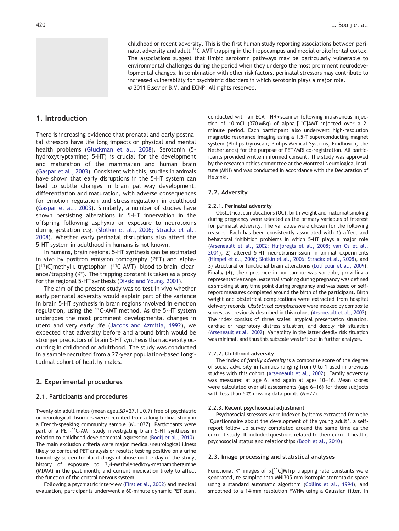childhood or recent adversity. This is the first human study reporting associations between perinatal adversity and adult <sup>11</sup>C-AMT trapping in the hippocampus and medial orbitofrontal cortex. The associations suggest that limbic serotonin pathways may be particularly vulnerable to environmental challenges during the period when they undergo the most prominent neurodevelopmental changes. In combination with other risk factors, perinatal stressors may contribute to increased vulnerability for psychiatric disorders in which serotonin plays a major role. © 2011 Elsevier B.V. and ECNP. All rights reserved.

## 1. Introduction

There is increasing evidence that prenatal and early postnatal stressors have life long impacts on physical and mental health problems ([Gluckman et al., 2008](#page-4-0)). Serotonin (5 hydroxytryptamine; 5-HT) is crucial for the development and maturation of the mammalian and human brain [\(Gaspar et al., 2003\)](#page-4-0). Consistent with this, studies in animals have shown that early disruptions in the 5-HT system can lead to subtle changes in brain pathway development, differentiation and maturation, with adverse consequences for emotion regulation and stress-regulation in adulthood [\(Gaspar et al., 2003](#page-4-0)). Similarly, a number of studies have shown persisting alterations in 5-HT innervation in the offspring following asphyxia or exposure to neurotoxins during gestation e.g. ([Slotkin et al., 2006; Strackx et al.,](#page-4-0) [2008](#page-4-0)). Whether early perinatal disruptions also affect the 5-HT system in adulthood in humans is not known.

In humans, brain regional 5-HT synthesis can be estimated in vivo by positron emission tomography (PET) and alpha-  $[(11)C]$ methyl-L-tryptophan  $(11C-AMT)$  blood-to-brain clearance/trapping (K\*). The trapping constant is taken as a proxy for the regional 5-HT synthesis [\(Diksic and Young, 2001](#page-4-0)).

The aim of the present study was to test in vivo whether early perinatal adversity would explain part of the variance in brain 5-HT synthesis in brain regions involved in emotion regulation, using the  $11C-AMT$  method. As the 5-HT system undergoes the most prominent developmental changes in utero and very early life ([Jacobs and Azmitia, 1992\)](#page-4-0), we expected that adversity before and around birth would be stronger predictors of brain 5-HT synthesis than adversity occurring in childhood or adulthood. The study was conducted in a sample recruited from a 27-year population-based longitudinal cohort of healthy males.

## 2. Experimental procedures

#### 2.1. Participants and procedures

Twenty-six adult males (mean  $age \pm SD = 27.1 \pm 0.7$ ) free of psychiatric or neurological disorders were recruited from a longitudinal study in a French-speaking community sample (N= 1037). Participants were part of a PET-<sup>11</sup>C-AMT study investigating brain 5-HT synthesis in relation to childhood developmental aggression ([Booij et al., 2010](#page-4-0)). The main exclusion criteria were major medical/neurological illness likely to confound PET analysis or results; testing positive on a urine toxicology screen for illicit drugs of abuse on the day of the study; history of exposure to 3,4-Methylenedioxy-methamphetamine (MDMA) in the past month; and current medication likely to affect the function of the central nervous system.

Following a psychiatric interview ([First et al., 2002](#page-4-0)) and medical evaluation, participants underwent a 60-minute dynamic PET scan, conducted with an ECAT HR + scanner following intravenous injection of 10 mCi (370 MBq) of alpha- $[11C]$ AMT injected over a 2minute period. Each participant also underwent high-resolution magnetic resonance imaging using a 1.5-T superconducting magnet system (Philips Gyroscan; Philips Medical Systems, Eindhoven, the Netherlands) for the purpose of PET/MRI co-registration. All participants provided written informed consent. The study was approved by the research ethics committee at the Montreal Neurological Institute (MNI) and was conducted in accordance with the Declaration of Helsinki.

#### 2.2. Adversity

#### 2.2.1. Perinatal adversity

Obstetrical complications (OC), birth weight and maternal smoking during pregnancy were selected as the primary variables of interest for perinatal adversity. The variables were chosen for the following reasons. Each has been consistently associated with 1) affect and behavioral inhibition problems in which 5-HT plays a major role ([Arseneault et al., 2002; Huijbregts et al., 2008; van Os et al.,](#page-4-0) [2001](#page-4-0)), 2) altered 5-HT neurotransmission in animal experiments ([Himpel et al., 2006; Slotkin et al., 2006; Strackx et al., 2008\)](#page-4-0), and 3) structural or functional brain alterations [\(Lotfipour et al., 2009](#page-4-0)). Finally (4), their presence in our sample was variable, providing a representative range. Maternal smoking during pregnancy was defined as smoking at any time point during pregnancy and was based on selfreport measures completed around the birth of the participant. Birth weight and obstetrical complications were extracted from hospital delivery records. Obstetrical complications were indexed by composite scores, as previously described in this cohort [\(Arseneault et al., 2002](#page-4-0)). The index consists of three scales: atypical presentation situation, cardiac or respiratory distress situation, and deadly risk situation ([Arseneault et al., 2002\)](#page-4-0). Variability in the latter deadly risk situation was minimal, and thus this subscale was left out in further analyses.

#### 2.2.2. Childhood adversity

The index of family adversity is a composite score of the degree of social adversity in families ranging from 0 to 1 used in previous studies with this cohort ([Arseneault et al., 2002](#page-4-0)). Family adversity was measured at age 6, and again at ages 10–16. Mean scores were calculated over all assessments (age 6–16) for those subjects with less than 50% missing data points  $(N= 22)$ .

#### 2.2.3. Recent psychosocial adjustment

Psychosocial stressors were indexed by items extracted from the 'Questionnaire about the development of the young adult', a selfreport follow up survey completed around the same time as the current study. It included questions related to their current health, psychosocial status and relationships [\(Booij et al., 2010\)](#page-4-0).

#### 2.3. Image processing and statistical analyses

Functional K\* images of  $\alpha$ <sup>[11</sup>C]MTrp trapping rate constants were generated, re-sampled into MNI305-mm isotropic stereotaxic space using a standard automatic algorithm ([Collins et al., 1994](#page-4-0)), and smoothed to a 14-mm resolution FWHM using a Gaussian filter. In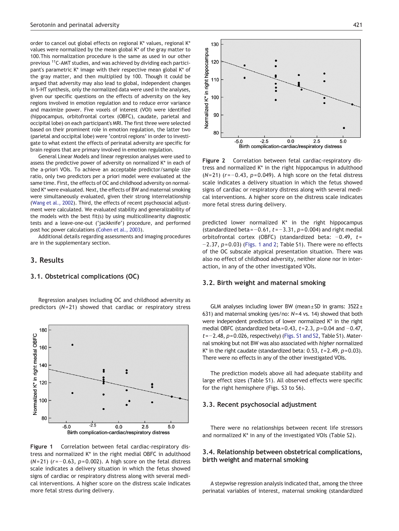order to cancel out global effects on regional K\* values, regional K\* values were normalized by the mean global K\* of the gray matter to 100.This normalization procedure is the same as used in our other previous 11C-AMT studies, and was achieved by dividing each participant's parametric K\* image with their respective mean global K\* of the gray matter, and then multiplied by 100. Though it could be argued that adversity may also lead to global, independent changes in 5-HT synthesis, only the normalized data were used in the analyses, given our specific questions on the effects of adversity on the key regions involved in emotion regulation and to reduce error variance and maximize power. Five voxels of interest (VOI) were identified (hippocampus, orbitofrontal cortex (OBFC), caudate, parietal and occipital lobe) on each participant's MRI. The first three were selected based on their prominent role in emotion regulation, the latter two (parietal and occipital lobe) were 'control regions' in order to investigate to what extent the effects of perinatal adversity are specific for brain regions that are primary involved in emotion regulation.

General Linear Models and linear regression analyses were used to assess the predictive power of adversity on normalized K\* in each of the a-priori VOIs. To achieve an acceptable predictor/sample size ratio, only two predictors per a priori model were evaluated at the same time. First, the effects of OC and childhood adversity on normalized K\* were evaluated. Next, the effects of BW and maternal smoking were simultaneously evaluated, given their strong interrelationship [\(Wang et al., 2002](#page-4-0)). Third, the effects of recent psychosocial adjustment were calculated. We evaluated stability and generalizability of the models with the best fit(s) by using multicollinearity diagnostic tests and a leave-one-out ('jackknife') procedure, and performed post hoc power calculations [\(Cohen et al., 2003\)](#page-4-0).

Additional details regarding assessments and imaging procedures are in the supplementary section.

## 3. Results

#### 3.1. Obstetrical complications (OC)

Regression analyses including OC and childhood adversity as predictors  $(N=21)$  showed that cardiac or respiratory stress



Figure 1 Correlation between fetal cardiac-respiratory distress and normalized K\* in the right medial OBFC in adulthood  $(N= 21)$  (r=−0.63, p=0.002). A high score on the fetal distress scale indicates a delivery situation in which the fetus showed signs of cardiac or respiratory distress along with several medical interventions. A higher score on the distress scale indicates more fetal stress during delivery.



Figure 2 Correlation between fetal cardiac-respiratory distress and normalized K\* in the right hippocampus in adulthood  $(N= 21)$  ( $r=-0.43$ ,  $p=0.049$ ). A high score on the fetal distress scale indicates a delivery situation in which the fetus showed signs of cardiac or respiratory distress along with several medical interventions. A higher score on the distress scale indicates more fetal stress during delivery.

predicted lower normalized K\* in the right hippocampus (standardized beta =  $-0.61$ ,  $t = -3.31$ ,  $p = 0.004$ ) and right medial orbitofrontal cortex (OBFC) (standardized beta: −0.49, t= −2.37, p= 0.03) (Figs. 1 and 2; Table S1). There were no effects of the OC subscale atypical presentation situation. There was also no effect of childhood adversity, neither alone nor in interaction, in any of the other investigated VOIs.

## 3.2. Birth weight and maternal smoking

GLM analyses including lower BW (mean $\pm$ SD in grams: 3522 $\pm$ 631) and maternal smoking (yes/no: N=4 vs. 14) showed that both were independent predictors of lower normalized K\* in the right medial OBFC (standardized beta=0.43,  $t=2.3$ ,  $p=0.04$  and  $-0.47$ , t=−2.48, p=0.026, respectively) (Figs. S1 and S2, Table S1). Maternal smoking but not BW was also associated with higher normalized K\* in the right caudate (standardized beta:  $0.53$ ,  $t = 2.49$ ,  $p = 0.03$ ). There were no effects in any of the other investigated VOIs.

The prediction models above all had adequate stability and large effect sizes (Table S1). All observed effects were specific for the right hemisphere (Figs. S3 to S6).

## 3.3. Recent psychosocial adjustment

There were no relationships between recent life stressors and normalized K\* in any of the investigated VOIs (Table S2).

## 3.4. Relationship between obstetrical complications, birth weight and maternal smoking

A stepwise regression analysis indicated that, among the three perinatal variables of interest, maternal smoking (standardized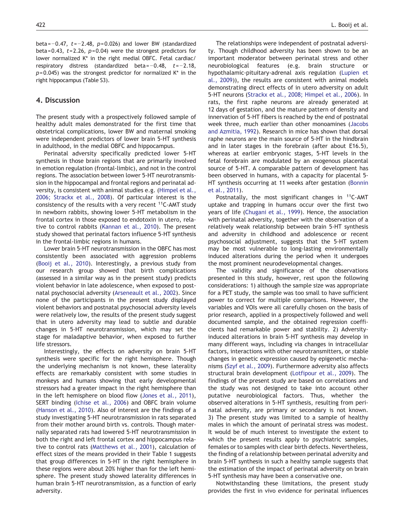beta= $-0.47$ ,  $t=-2.48$ ,  $p=0.026$ ) and lower BW (standardized beta=0.43,  $t = 2.26$ ,  $p = 0.04$ ) were the strongest predictors for lower normalized K\* in the right medial OBFC. Fetal cardiac/ respiratory distress (standardized beta=−0.48, t=−2.18,  $p = 0.045$ ) was the strongest predictor for normalized K\* in the right hippocampus (Table S3).

## 4. Discussion

The present study with a prospectively followed sample of healthy adult males demonstrated for the first time that obstetrical complications, lower BW and maternal smoking were independent predictors of lower brain 5-HT synthesis in adulthood, in the medial OBFC and hippocampus.

Perinatal adversity specifically predicted lower 5-HT synthesis in those brain regions that are primarily involved in emotion regulation (frontal-limbic), and not in the control regions. The association between lower 5-HT neurotransmission in the hippocampal and frontal regions and perinatal adversity, is consistent with animal studies e.g. ([Himpel et al.,](#page-4-0) [2006; Strackx et al., 2008](#page-4-0)). Of particular interest is the consistency of the results with a very recent  $11C-AMT$  study in newborn rabbits, showing lower 5-HT metabolism in the frontal cortex in those exposed to endotoxin in utero, relative to control rabbits [\(Kannan et al., 2010\)](#page-4-0). The present study showed that perinatal factors influence 5-HT synthesis in the frontal-limbic regions in humans.

Lower brain 5-HT neurotransmission in the OBFC has most consistently been associated with aggression problems [\(Booij et al., 2010](#page-4-0)). Interestingly, a previous study from our research group showed that birth complications (assessed in a similar way as in the present study) predicts violent behavior in late adolescence, when exposed to postnatal psychosocial adversity [\(Arseneault et al., 2002\)](#page-4-0). Since none of the participants in the present study displayed violent behaviors and postnatal psychosocial adversity levels were relatively low, the results of the present study suggest that in utero adversity may lead to subtle and durable changes in 5-HT neurotransmission, which may set the stage for maladaptive behavior, when exposed to further life stressors.

Interestingly, the effects on adversity on brain 5-HT synthesis were specific for the right hemisphere. Though the underlying mechanism is not known, these laterality effects are remarkably consistent with some studies in monkeys and humans showing that early developmental stressors had a greater impact in the right hemisphere than in the left hemisphere on blood flow [\(Jones et al., 2011](#page-4-0)), SERT binding [\(Ichise et al., 2006\)](#page-4-0) and OBFC brain volume [\(Hanson et al., 2010\)](#page-4-0). Also of interest are the findings of a study investigating 5-HT neurotransmission in rats separated from their mother around birth vs. controls. Though maternally separated rats had lowered 5-HT neurotransmission in both the right and left frontal cortex and hippocampus relative to control rats [\(Matthews et al., 2001\)](#page-4-0), calculation of effect sizes of the means provided in their Table 1 suggests that group differences in 5-HT in the right hemisphere in these regions were about 20% higher than for the left hemisphere. The present study showed laterality differences in human brain 5-HT neurotransmission, as a function of early adversity.

The relationships were independent of postnatal adversity. Though childhood adversity has been shown to be an important moderator between perinatal stress and other neurobiological features (e.g. brain structure or hypothalamic-pituitary-adrenal axis regulation ([Lupien et](#page-4-0) [al., 2009](#page-4-0))), the results are consistent with animal models demonstrating direct effects of in utero adversity on adult 5-HT neurons [\(Strackx et al., 2008; Himpel et al., 2006](#page-4-0)). In rats, the first raphe neurons are already generated at 12 days of gestation, and the mature pattern of density and innervation of 5-HT fibers is reached by the end of postnatal week three, much earlier than other monoamines [\(Jacobs](#page-4-0) [and Azmitia, 1992\)](#page-4-0). Research in mice has shown that dorsal raphe neurons are the main source of 5-HT in the hindbrain and in later stages in the forebrain (after about E16.5), whereas at earlier embryonic stages, 5-HT levels in the fetal forebrain are modulated by an exogenous placental source of 5-HT. A comparable pattern of development has been observed in humans, with a capacity for placental 5- HT synthesis occurring at 11 weeks after gestation [\(Bonnin](#page-4-0) [et al., 2011](#page-4-0)).

Postnatally, the most significant changes in  $^{11}$ C-AMT uptake and trapping in humans occur over the first two years of life [\(Chugani et al., 1999](#page-4-0)). Hence, the association with perinatal adversity, together with the observation of a relatively weak relationship between brain 5-HT synthesis and adversity in childhood and adolescence or recent psychosocial adjustment, suggests that the 5-HT system may be most vulnerable to long-lasting environmentally induced alterations during the period when it undergoes the most prominent neurodevelopmental changes.

The validity and significance of the observations presented in this study, however, rest upon the following considerations: 1) although the sample size was appropriate for a PET study, the sample was too small to have sufficient power to correct for multiple comparisons. However, the variables and VOIs were all carefully chosen on the basis of prior research, applied in a prospectively followed and well documented sample, and the obtained regression coefficients had remarkable power and stability. 2) Adversityinduced alterations in brain 5-HT synthesis may develop in many different ways, including via changes in intracellular factors, interactions with other neurotransmitters, or stable changes in genetic expression caused by epigenetic mechanisms ([Szyf et al., 2009](#page-4-0)). Furthermore adversity also affects structural brain development [\(Lotfipour et al., 2009\)](#page-4-0). The findings of the present study are based on correlations and the study was not designed to take into account other putative neurobiological factors. Thus, whether the observed alterations in 5-HT synthesis, resulting from perinatal adversity, are primary or secondary is not known. 3) The present study was limited to a sample of healthy males in which the amount of perinatal stress was modest. It would be of much interest to investigate the extent to which the present results apply to psychiatric samples, females or to samples with clear birth defects. Nevertheless, the finding of a relationship between perinatal adversity and brain 5-HT synthesis in such a healthy sample suggests that the estimation of the impact of perinatal adversity on brain 5-HT synthesis may have been a conservative one.

Notwithstanding these limitations, the present study provides the first in vivo evidence for perinatal influences